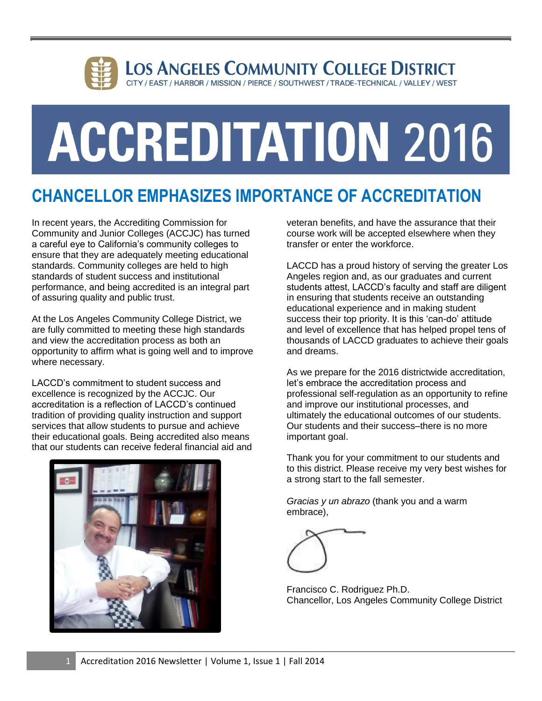

# **ACCREDITATION 2016**

## **CHANCELLOR EMPHASIZES IMPORTANCE OF ACCREDITATION**

In recent years, the Accrediting Commission for Community and Junior Colleges (ACCJC) has turned a careful eye to California's community colleges to ensure that they are adequately meeting educational standards. Community colleges are held to high standards of student success and institutional performance, and being accredited is an integral part of assuring quality and public trust.

At the Los Angeles Community College District, we are fully committed to meeting these high standards and view the accreditation process as both an opportunity to affirm what is going well and to improve where necessary.

LACCD's commitment to student success and excellence is recognized by the ACCJC. Our accreditation is a reflection of LACCD's continued tradition of providing quality instruction and support services that allow students to pursue and achieve their educational goals. Being accredited also means that our students can receive federal financial aid and



veteran benefits, and have the assurance that their course work will be accepted elsewhere when they transfer or enter the workforce.

LACCD has a proud history of serving the greater Los Angeles region and, as our graduates and current students attest, LACCD's faculty and staff are diligent in ensuring that students receive an outstanding educational experience and in making student success their top priority. It is this 'can-do' attitude and level of excellence that has helped propel tens of thousands of LACCD graduates to achieve their goals and dreams.

As we prepare for the 2016 districtwide accreditation, let's embrace the accreditation process and professional self-regulation as an opportunity to refine and improve our institutional processes, and ultimately the educational outcomes of our students. Our students and their success–there is no more important goal.

Thank you for your commitment to our students and to this district. Please receive my very best wishes for a strong start to the fall semester.

*Gracias y un abrazo* (thank you and a warm embrace),



Francisco C. Rodriguez Ph.D. Chancellor, Los Angeles Community College District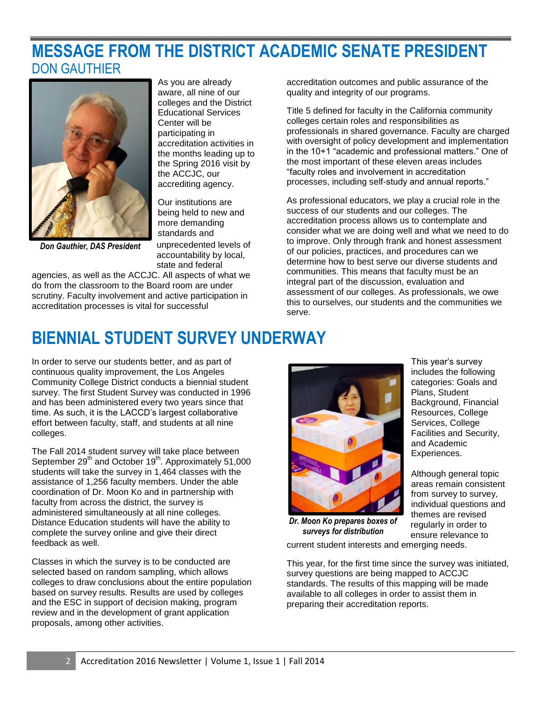### **MESSAGE FROM THE DISTRICT ACADEMIC SENATE PRESIDENT** DON GAUTHIER



As you are already aware, all nine of our colleges and the District Educational Services Center will be participating in accreditation activities in the months leading up to the Spring 2016 visit by the ACCJC, our accrediting agency.

Our institutions are being held to new and more demanding standards and

*Don Gauthier, DAS President*

unprecedented levels of accountability by local, state and federal

agencies, as well as the ACCJC. All aspects of what we do from the classroom to the Board room are under scrutiny. Faculty involvement and active participation in accreditation processes is vital for successful

accreditation outcomes and public assurance of the quality and integrity of our programs.

Title 5 defined for faculty in the California community colleges certain roles and responsibilities as professionals in shared governance. Faculty are charged with oversight of policy development and implementation in the 10+1 "academic and professional matters." One of the most important of these eleven areas includes "faculty roles and involvement in accreditation processes, including self-study and annual reports."

As professional educators, we play a crucial role in the success of our students and our colleges. The accreditation process allows us to contemplate and consider what we are doing well and what we need to do to improve. Only through frank and honest assessment of our policies, practices, and procedures can we determine how to best serve our diverse students and communities. This means that faculty must be an integral part of the discussion, evaluation and assessment of our colleges. As professionals, we owe this to ourselves, our students and the communities we serve.

> This year's survey includes the following categories: Goals and Plans, Student

Background, Financial Resources, College Services, College Facilities and Security,

Although general topic areas remain consistent

individual questions and themes are revised regularly in order to ensure relevance to

and Academic Experiences.

## **BIENNIAL STUDENT SURVEY UNDERWAY**

In order to serve our students better, and as part of continuous quality improvement, the Los Angeles Community College District conducts a biennial student survey. The first Student Survey was conducted in 1996 and has been administered every two years since that time. As such, it is the LACCD's largest collaborative effort between faculty, staff, and students at all nine colleges.

The Fall 2014 student survey will take place between September 29<sup>th</sup> and October 19<sup>th</sup>. Approximately 51,000 students will take the survey in 1,464 classes with the assistance of 1,256 faculty members. Under the able coordination of Dr. Moon Ko and in partnership with faculty from across the district, the survey is administered simultaneously at all nine colleges. Distance Education students will have the ability to complete the survey online and give their direct feedback as well.

Classes in which the survey is to be conducted are selected based on random sampling, which allows colleges to draw conclusions about the entire population based on survey results. Results are used by colleges and the ESC in support of decision making, program review and in the development of grant application proposals, among other activities.



*Dr. Moon Ko prepares boxes of surveys for distribution*

current student interests and emerging needs.

This year, for the first time since the survey was initiated, survey questions are being mapped to ACCJC standards. The results of this mapping will be made available to all colleges in order to assist them in preparing their accreditation reports.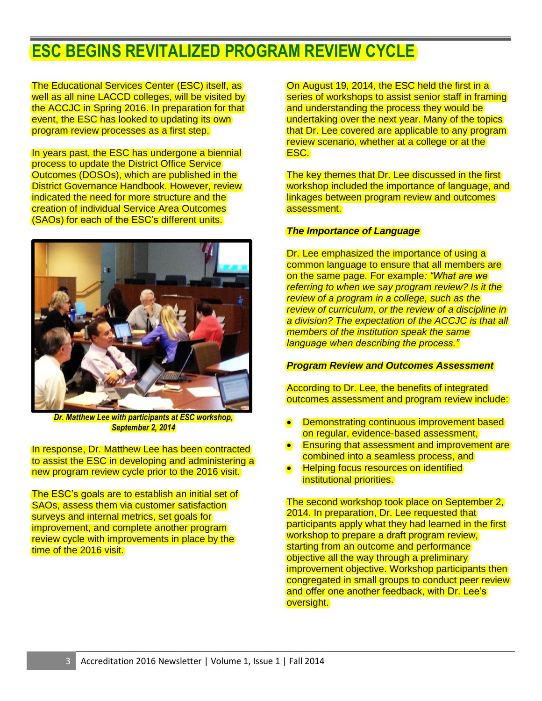## **ESC BEGINS REVITALIZED PROGRAM REVIEW CYCLE**

The Educational Services Center (ESC) itself, as well as all nine LACCD colleges, will be visited by the ACCJC in Spring 2016. In preparation for that event, the ESC has looked to updating its own program review processes as a first step.

In years past, the ESC has undergone a biennial process to update the District Office Service Outcomes (DOSOs), which are published in the District Governance Handbook. However, review indicated the need for more structure and the creation of individual Service Area Outcomes (SAOs) for each of the ESC's different units.



*Dr. Matthew Lee with participants at ESC workshop, September 2, 2014*

In response, Dr. Matthew Lee has been contracted to assist the ESC in developing and administering a new program review cycle prior to the 2016 visit.

The ESC's goals are to establish an initial set of SAOs, assess them via customer satisfaction surveys and internal metrics, set goals for improvement, and complete another program review cycle with improvements in place by the time of the 2016 visit.

On August 19, 2014, the ESC held the first in a series of workshops to assist senior staff in framing and understanding the process they would be undertaking over the next year. Many of the topics that Dr. Lee covered are applicable to any program review scenario, whether at a college or at the ESC.

The key themes that Dr. Lee discussed in the first workshop included the importance of language, and linkages between program review and outcomes assessment.

#### *The Importance of Language*

Dr. Lee emphasized the importance of using a common language to ensure that all members are on the same page. For example*: "What are we referring to when we say program review? Is it the review of a program in a college, such as the review of curriculum, or the review of a discipline in a division? The expectation of the ACCJC is that all members of the institution speak the same language when describing the process."*

#### *Program Review and Outcomes Assessment*

According to Dr. Lee, the benefits of integrated outcomes assessment and program review include:

- Demonstrating continuous improvement based on regular, evidence-based assessment,
- Ensuring that assessment and improvement are combined into a seamless process, and
- **Helping focus resources on identified** institutional priorities.

The second workshop took place on September 2, 2014. In preparation, Dr. Lee requested that participants apply what they had learned in the first workshop to prepare a draft program review, starting from an outcome and performance objective all the way through a preliminary improvement objective. Workshop participants then congregated in small groups to conduct peer review and offer one another feedback, with Dr. Lee's oversight.